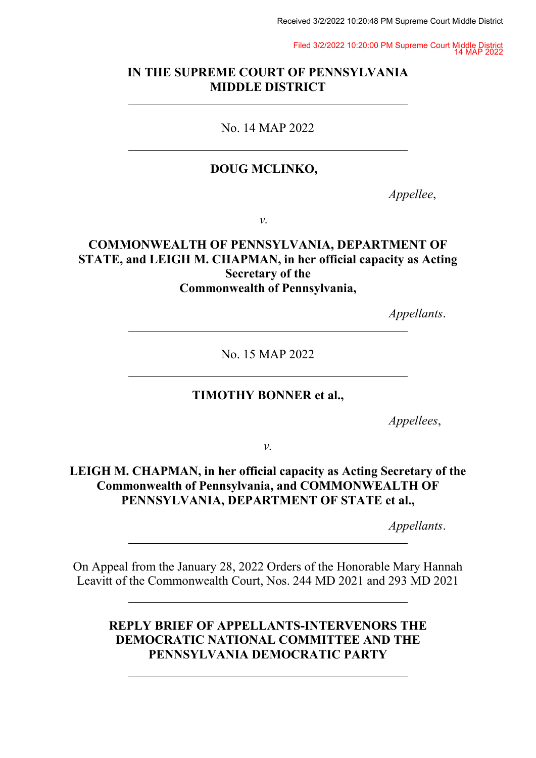Filed 3/2/2022 10:20:00 PM Supreme Court Middle District 14 MAP 2022

## **IN THE SUPREME COURT OF PENNSYLVANIA MIDDLE DISTRICT**

## No. 14 MAP 2022

## **DOUG MCLINKO,**

*Appellee*,

*v.*

## **COMMONWEALTH OF PENNSYLVANIA, DEPARTMENT OF STATE, and LEIGH M. CHAPMAN, in her official capacity as Acting Secretary of the Commonwealth of Pennsylvania,**

*Appellants*.

No. 15 MAP 2022

#### **TIMOTHY BONNER et al.,**

*Appellees*,

*v.*

# **LEIGH M. CHAPMAN, in her official capacity as Acting Secretary of the Commonwealth of Pennsylvania, and COMMONWEALTH OF PENNSYLVANIA, DEPARTMENT OF STATE et al.,**

*Appellants*.

On Appeal from the January 28, 2022 Orders of the Honorable Mary Hannah Leavitt of the Commonwealth Court, Nos. 244 MD 2021 and 293 MD 2021

# **REPLY BRIEF OF APPELLANTS-INTERVENORS THE DEMOCRATIC NATIONAL COMMITTEE AND THE PENNSYLVANIA DEMOCRATIC PARTY**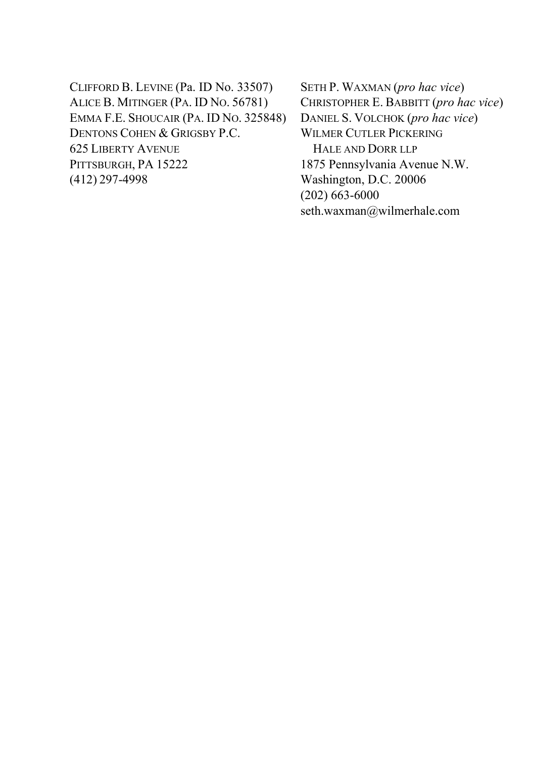CLIFFORD B. LEVINE (Pa. ID No. 33507) ALICE B. MITINGER (PA. ID NO. 56781) EMMA F.E. SHOUCAIR (PA. ID NO. 325848) DENTONS COHEN & GRIGSBY P.C. 625 LIBERTY AVENUE PITTSBURGH, PA 15222 (412) 297-4998

SETH P. WAXMAN (*pro hac vice*) CHRISTOPHER E. BABBITT (*pro hac vice*) DANIEL S. VOLCHOK (*pro hac vice*) WILMER CUTLER PICKERING HALE AND DORR LLP 1875 Pennsylvania Avenue N.W. Washington, D.C. 20006 (202) 663-6000 seth.waxman@wilmerhale.com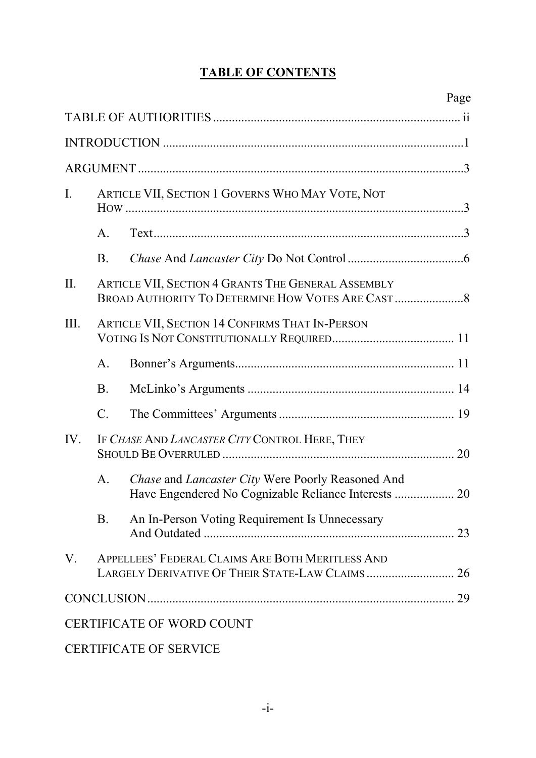# **TABLE OF CONTENTS**

|                |                 |                                                                                                           | Page |
|----------------|-----------------|-----------------------------------------------------------------------------------------------------------|------|
|                |                 |                                                                                                           |      |
|                |                 |                                                                                                           |      |
|                |                 |                                                                                                           |      |
| $\mathbf{I}$ . |                 | ARTICLE VII, SECTION 1 GOVERNS WHO MAY VOTE, NOT                                                          |      |
|                | A.              |                                                                                                           |      |
|                | <b>B.</b>       |                                                                                                           |      |
| II.            |                 | ARTICLE VII, SECTION 4 GRANTS THE GENERAL ASSEMBLY                                                        |      |
| III.           |                 | <b>ARTICLE VII, SECTION 14 CONFIRMS THAT IN-PERSON</b>                                                    |      |
|                | A.              |                                                                                                           |      |
|                | B.              |                                                                                                           |      |
|                | $\mathcal{C}$ . |                                                                                                           |      |
| IV.            |                 | IF CHASE AND LANCASTER CITY CONTROL HERE, THEY                                                            |      |
|                | А.              | Chase and Lancaster City Were Poorly Reasoned And<br>Have Engendered No Cognizable Reliance Interests  20 |      |
|                | B.              | An In-Person Voting Requirement Is Unnecessary                                                            |      |
| V.             |                 | APPELLEES' FEDERAL CLAIMS ARE BOTH MERITLESS AND<br>LARGELY DERIVATIVE OF THEIR STATE-LAW CLAIMS 26       |      |
|                |                 |                                                                                                           |      |
|                |                 | <b>CERTIFICATE OF WORD COUNT</b>                                                                          |      |

# CERTIFICATE OF SERVICE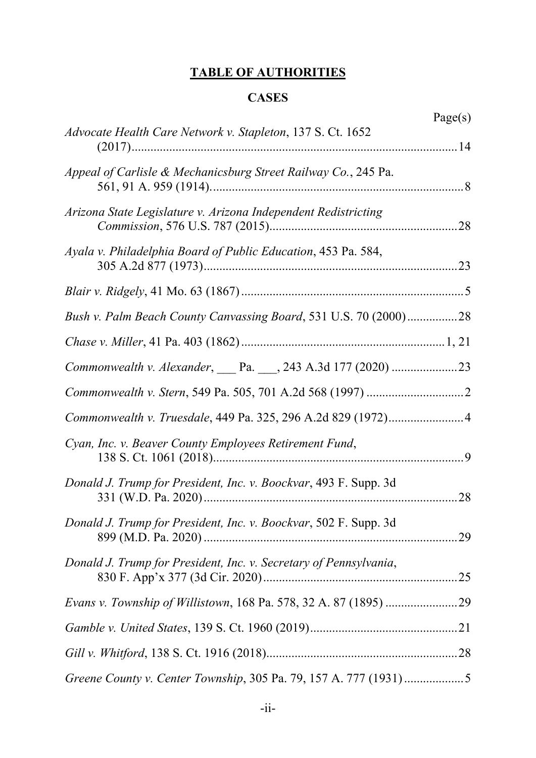# **TABLE OF AUTHORITIES**

# **CASES**

|                                                                   | Page(s) |
|-------------------------------------------------------------------|---------|
| Advocate Health Care Network v. Stapleton, 137 S. Ct. 1652        |         |
| Appeal of Carlisle & Mechanicsburg Street Railway Co., 245 Pa.    |         |
| Arizona State Legislature v. Arizona Independent Redistricting    |         |
| Ayala v. Philadelphia Board of Public Education, 453 Pa. 584,     |         |
|                                                                   |         |
| Bush v. Palm Beach County Canvassing Board, 531 U.S. 70 (2000)28  |         |
|                                                                   |         |
|                                                                   |         |
|                                                                   |         |
|                                                                   |         |
| Cyan, Inc. v. Beaver County Employees Retirement Fund,            |         |
| Donald J. Trump for President, Inc. v. Boockvar, 493 F. Supp. 3d  |         |
| Donald J. Trump for President, Inc. v. Boockvar, 502 F. Supp. 3d  |         |
| Donald J. Trump for President, Inc. v. Secretary of Pennsylvania, |         |
|                                                                   |         |
|                                                                   |         |
|                                                                   |         |
|                                                                   |         |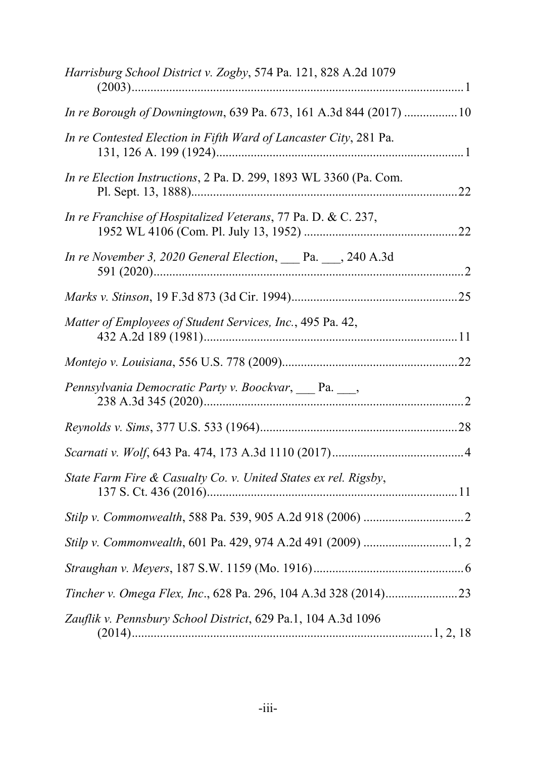| Harrisburg School District v. Zogby, 574 Pa. 121, 828 A.2d 1079   |  |
|-------------------------------------------------------------------|--|
| In re Borough of Downingtown, 639 Pa. 673, 161 A.3d 844 (2017) 10 |  |
| In re Contested Election in Fifth Ward of Lancaster City, 281 Pa. |  |
| In re Election Instructions, 2 Pa. D. 299, 1893 WL 3360 (Pa. Com. |  |
| In re Franchise of Hospitalized Veterans, 77 Pa. D. & C. 237,     |  |
| In re November 3, 2020 General Election, Pa. __, 240 A.3d         |  |
|                                                                   |  |
| Matter of Employees of Student Services, Inc., 495 Pa. 42,        |  |
|                                                                   |  |
| Pennsylvania Democratic Party v. Boockvar, Pa. __,                |  |
|                                                                   |  |
|                                                                   |  |
| State Farm Fire & Casualty Co. v. United States ex rel. Rigsby,   |  |
|                                                                   |  |
|                                                                   |  |
|                                                                   |  |
|                                                                   |  |
| Zauflik v. Pennsbury School District, 629 Pa.1, 104 A.3d 1096     |  |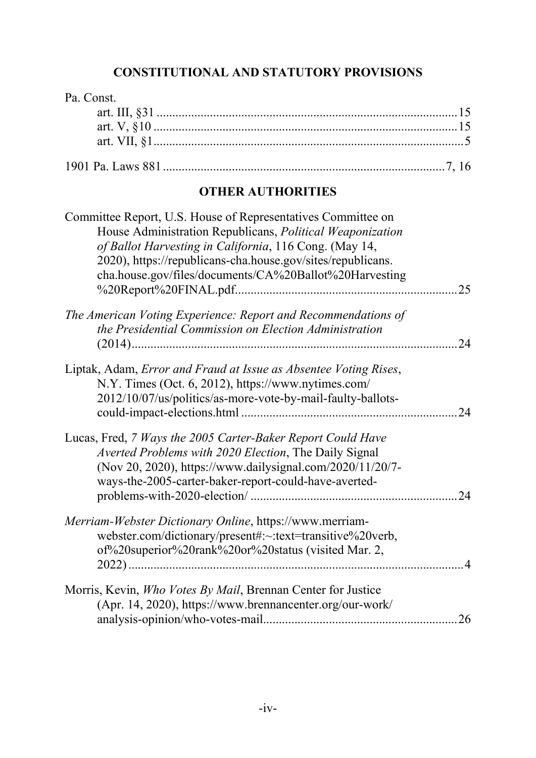# **CONSTITUTIONAL AND STATUTORY PROVISIONS**

| Pa. Const.                                                                                                            |     |
|-----------------------------------------------------------------------------------------------------------------------|-----|
|                                                                                                                       |     |
|                                                                                                                       |     |
|                                                                                                                       |     |
|                                                                                                                       |     |
| <b>OTHER AUTHORITIES</b>                                                                                              |     |
| Committee Report, U.S. House of Representatives Committee on                                                          |     |
| House Administration Republicans, Political Weaponization                                                             |     |
| of Ballot Harvesting in California, 116 Cong. (May 14,<br>2020), https://republicans-cha.house.gov/sites/republicans. |     |
| cha.house.gov/files/documents/CA%20Ballot%20Harvesting                                                                |     |
|                                                                                                                       |     |
| The American Voting Experience: Report and Recommendations of                                                         |     |
| the Presidential Commission on Election Administration                                                                |     |
|                                                                                                                       | 24  |
| Liptak, Adam, <i>Error and Fraud at Issue as Absentee Voting Rises</i> ,                                              |     |
| N.Y. Times (Oct. 6, 2012), https://www.nytimes.com/                                                                   |     |
| 2012/10/07/us/politics/as-more-vote-by-mail-faulty-ballots-                                                           | 24  |
|                                                                                                                       |     |
| Lucas, Fred, 7 Ways the 2005 Carter-Baker Report Could Have                                                           |     |
| Averted Problems with 2020 Election, The Daily Signal<br>(Nov 20, 2020), https://www.dailysignal.com/2020/11/20/7-    |     |
| ways-the-2005-carter-baker-report-could-have-averted-                                                                 |     |
|                                                                                                                       | .24 |
| Merriam-Webster Dictionary Online, https://www.merriam-                                                               |     |
| webster.com/dictionary/present#:~:text=transitive%20verb,                                                             |     |
| of%20superior%20rank%20or%20status (visited Mar. 2,                                                                   |     |
|                                                                                                                       |     |
| Morris, Kevin, <i>Who Votes By Mail</i> , Brennan Center for Justice                                                  |     |
| (Apr. 14, 2020), https://www.brennancenter.org/our-work/                                                              |     |
|                                                                                                                       |     |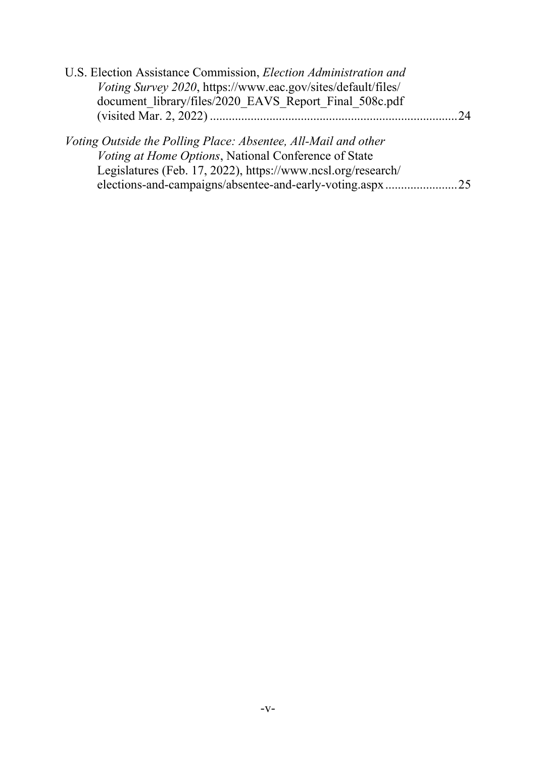| U.S. Election Assistance Commission, Election Administration and |      |
|------------------------------------------------------------------|------|
| Voting Survey 2020, https://www.eac.gov/sites/default/files/     |      |
| document library/files/2020 EAVS Report Final 508c.pdf           |      |
|                                                                  | - 74 |
|                                                                  |      |
| Voting Outside the Polling Place: Absentee, All-Mail and other   |      |
| Voting at Home Options, National Conference of State             |      |
| Legislatures (Feb. 17, 2022), https://www.ncsl.org/research/     |      |
| elections-and-campaigns/absentee-and-early-voting.aspx           | .25  |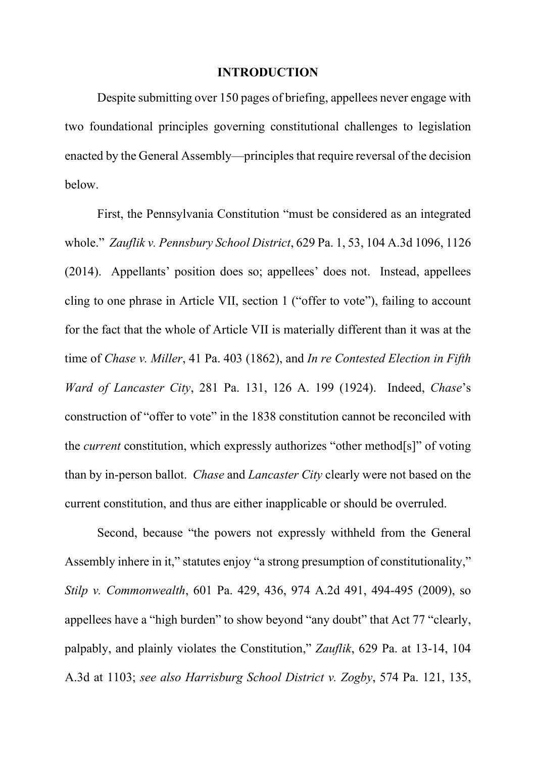#### **INTRODUCTION**

Despite submitting over 150 pages of briefing, appellees never engage with two foundational principles governing constitutional challenges to legislation enacted by the General Assembly—principles that require reversal of the decision below.

First, the Pennsylvania Constitution "must be considered as an integrated whole." *Zauflik v. Pennsbury School District*, 629 Pa. 1, 53, 104 A.3d 1096, 1126 (2014). Appellants' position does so; appellees' does not. Instead, appellees cling to one phrase in Article VII, section 1 ("offer to vote"), failing to account for the fact that the whole of Article VII is materially different than it was at the time of *Chase v. Miller*, 41 Pa. 403 (1862), and *In re Contested Election in Fifth Ward of Lancaster City*, 281 Pa. 131, 126 A. 199 (1924). Indeed, *Chase*'s construction of "offer to vote" in the 1838 constitution cannot be reconciled with the *current* constitution, which expressly authorizes "other method[s]" of voting than by in-person ballot. *Chase* and *Lancaster City* clearly were not based on the current constitution, and thus are either inapplicable or should be overruled.

Second, because "the powers not expressly withheld from the General Assembly inhere in it," statutes enjoy "a strong presumption of constitutionality," *Stilp v. Commonwealth*, 601 Pa. 429, 436, 974 A.2d 491, 494-495 (2009), so appellees have a "high burden" to show beyond "any doubt" that Act 77 "clearly, palpably, and plainly violates the Constitution," *Zauflik*, 629 Pa. at 13-14, 104 A.3d at 1103; *see also Harrisburg School District v. Zogby*, 574 Pa. 121, 135,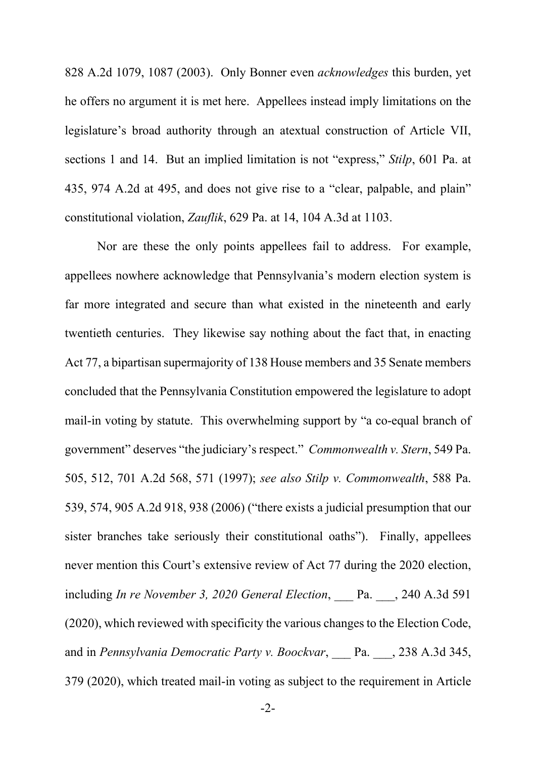828 A.2d 1079, 1087 (2003). Only Bonner even *acknowledges* this burden, yet he offers no argument it is met here. Appellees instead imply limitations on the legislature's broad authority through an atextual construction of Article VII, sections 1 and 14. But an implied limitation is not "express," *Stilp*, 601 Pa. at 435, 974 A.2d at 495, and does not give rise to a "clear, palpable, and plain" constitutional violation, *Zauflik*, 629 Pa. at 14, 104 A.3d at 1103.

Nor are these the only points appellees fail to address. For example, appellees nowhere acknowledge that Pennsylvania's modern election system is far more integrated and secure than what existed in the nineteenth and early twentieth centuries. They likewise say nothing about the fact that, in enacting Act 77, a bipartisan supermajority of 138 House members and 35 Senate members concluded that the Pennsylvania Constitution empowered the legislature to adopt mail-in voting by statute. This overwhelming support by "a co-equal branch of government" deserves "the judiciary's respect." *Commonwealth v. Stern*, 549 Pa. 505, 512, 701 A.2d 568, 571 (1997); *see also Stilp v. Commonwealth*, 588 Pa. 539, 574, 905 A.2d 918, 938 (2006) ("there exists a judicial presumption that our sister branches take seriously their constitutional oaths"). Finally, appellees never mention this Court's extensive review of Act 77 during the 2020 election, including *In re November 3, 2020 General Election*, Pa. , 240 A.3d 591 (2020), which reviewed with specificity the various changes to the Election Code, and in *Pennsylvania Democratic Party v. Boockvar*, \_\_\_ Pa. \_\_\_, 238 A.3d 345, 379 (2020), which treated mail-in voting as subject to the requirement in Article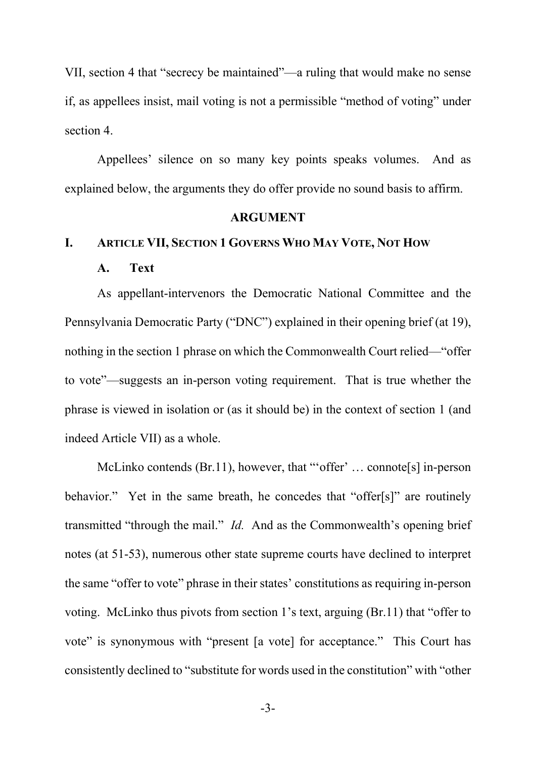VII, section 4 that "secrecy be maintained"—a ruling that would make no sense if, as appellees insist, mail voting is not a permissible "method of voting" under section 4.

Appellees' silence on so many key points speaks volumes. And as explained below, the arguments they do offer provide no sound basis to affirm.

### **ARGUMENT**

## **I. ARTICLE VII, SECTION 1 GOVERNS WHO MAY VOTE, NOT HOW**

#### **A. Text**

As appellant-intervenors the Democratic National Committee and the Pennsylvania Democratic Party ("DNC") explained in their opening brief (at 19), nothing in the section 1 phrase on which the Commonwealth Court relied—"offer to vote"—suggests an in-person voting requirement. That is true whether the phrase is viewed in isolation or (as it should be) in the context of section 1 (and indeed Article VII) as a whole.

McLinko contends (Br.11), however, that "'offer' ... connote<sup>[s]</sup> in-person behavior." Yet in the same breath, he concedes that "offer[s]" are routinely transmitted "through the mail." *Id.* And as the Commonwealth's opening brief notes (at 51-53), numerous other state supreme courts have declined to interpret the same "offer to vote" phrase in their states' constitutions as requiring in-person voting. McLinko thus pivots from section 1's text, arguing (Br.11) that "offer to vote" is synonymous with "present [a vote] for acceptance." This Court has consistently declined to "substitute for words used in the constitution" with "other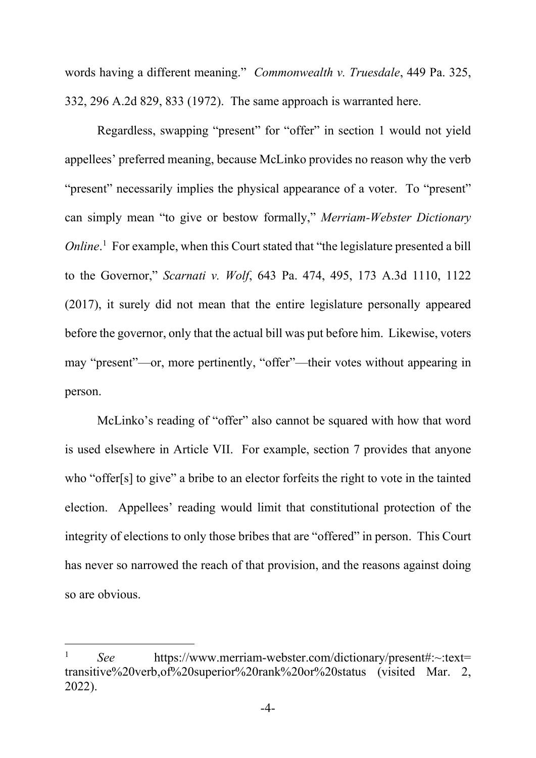words having a different meaning." *Commonwealth v. Truesdale*, 449 Pa. 325, 332, 296 A.2d 829, 833 (1972). The same approach is warranted here.

Regardless, swapping "present" for "offer" in section 1 would not yield appellees' preferred meaning, because McLinko provides no reason why the verb "present" necessarily implies the physical appearance of a voter. To "present" can simply mean "to give or bestow formally," *Merriam-Webster Dictionary Online*.<sup>1</sup> For example, when this Court stated that "the legislature presented a bill to the Governor," *Scarnati v. Wolf*, 643 Pa. 474, 495, 173 A.3d 1110, 1122 (2017), it surely did not mean that the entire legislature personally appeared before the governor, only that the actual bill was put before him. Likewise, voters may "present"—or, more pertinently, "offer"—their votes without appearing in person.

McLinko's reading of "offer" also cannot be squared with how that word is used elsewhere in Article VII. For example, section 7 provides that anyone who "offer[s] to give" a bribe to an elector forfeits the right to vote in the tainted election. Appellees' reading would limit that constitutional protection of the integrity of elections to only those bribes that are "offered" in person. This Court has never so narrowed the reach of that provision, and the reasons against doing so are obvious.

<sup>&</sup>lt;sup>1</sup> *See* https://www.merriam-webster.com/dictionary/present#:~:text= transitive%20verb,of%20superior%20rank%20or%20status (visited Mar. 2, 2022).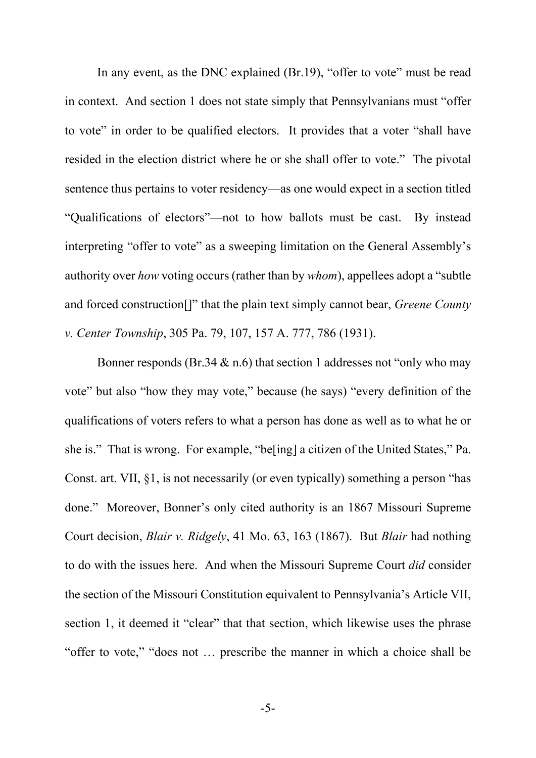In any event, as the DNC explained (Br.19), "offer to vote" must be read in context. And section 1 does not state simply that Pennsylvanians must "offer to vote" in order to be qualified electors. It provides that a voter "shall have resided in the election district where he or she shall offer to vote." The pivotal sentence thus pertains to voter residency—as one would expect in a section titled "Qualifications of electors"—not to how ballots must be cast. By instead interpreting "offer to vote" as a sweeping limitation on the General Assembly's authority over *how* voting occurs (rather than by *whom*), appellees adopt a "subtle and forced construction[]" that the plain text simply cannot bear, *Greene County v. Center Township*, 305 Pa. 79, 107, 157 A. 777, 786 (1931).

Bonner responds (Br.34  $\&$  n.6) that section 1 addresses not "only who may vote" but also "how they may vote," because (he says) "every definition of the qualifications of voters refers to what a person has done as well as to what he or she is." That is wrong. For example, "be[ing] a citizen of the United States," Pa. Const. art. VII, §1, is not necessarily (or even typically) something a person "has done." Moreover, Bonner's only cited authority is an 1867 Missouri Supreme Court decision, *Blair v. Ridgely*, 41 Mo. 63, 163 (1867). But *Blair* had nothing to do with the issues here. And when the Missouri Supreme Court *did* consider the section of the Missouri Constitution equivalent to Pennsylvania's Article VII, section 1, it deemed it "clear" that that section, which likewise uses the phrase "offer to vote," "does not … prescribe the manner in which a choice shall be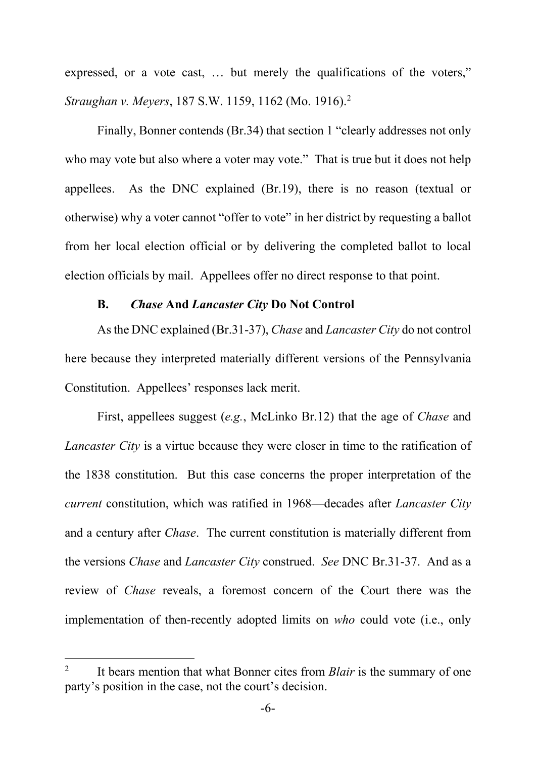expressed, or a vote cast, … but merely the qualifications of the voters," *Straughan v. Meyers*, 187 S.W. 1159, 1162 (Mo. 1916).2

Finally, Bonner contends (Br.34) that section 1 "clearly addresses not only who may vote but also where a voter may vote." That is true but it does not help appellees. As the DNC explained (Br.19), there is no reason (textual or otherwise) why a voter cannot "offer to vote" in her district by requesting a ballot from her local election official or by delivering the completed ballot to local election officials by mail. Appellees offer no direct response to that point.

### **B. <sup>C</sup>***hase* **And** *Lancaster City* **Do Not Control**

As the DNC explained (Br.31-37), *Chase* and *Lancaster City* do not control here because they interpreted materially different versions of the Pennsylvania Constitution. Appellees' responses lack merit.

First, appellees suggest (*e.g.*, McLinko Br.12) that the age of *Chase* and *Lancaster City* is a virtue because they were closer in time to the ratification of the 1838 constitution. But this case concerns the proper interpretation of the *current* constitution, which was ratified in 1968—decades after *Lancaster City* and a century after *Chase*. The current constitution is materially different from the versions *Chase* and *Lancaster City* construed. *See* DNC Br.31-37. And as a review of *Chase* reveals, a foremost concern of the Court there was the implementation of then-recently adopted limits on *who* could vote (i.e., only

<sup>&</sup>lt;sup>2</sup> It bears mention that what Bonner cites from *Blair* is the summary of one party's position in the case, not the court's decision.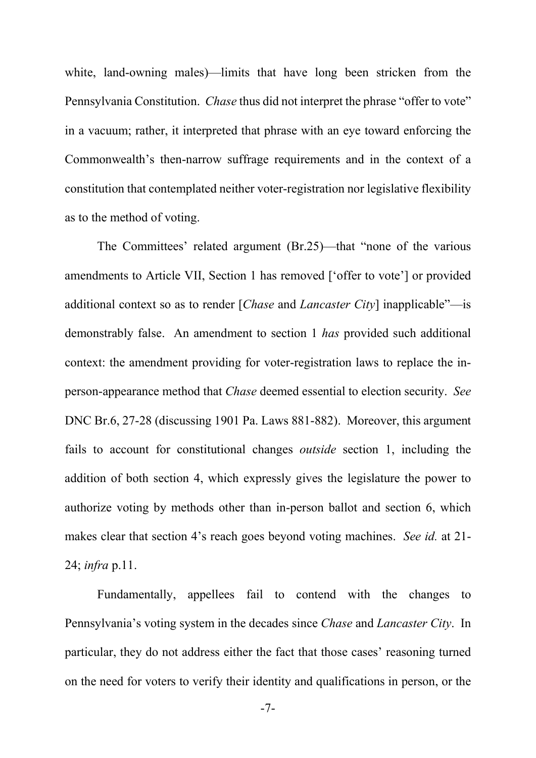white, land-owning males)—limits that have long been stricken from the Pennsylvania Constitution. *Chase* thus did not interpret the phrase "offer to vote" in a vacuum; rather, it interpreted that phrase with an eye toward enforcing the Commonwealth's then-narrow suffrage requirements and in the context of a constitution that contemplated neither voter-registration nor legislative flexibility as to the method of voting.

The Committees' related argument (Br.25)—that "none of the various amendments to Article VII, Section 1 has removed ['offer to vote'] or provided additional context so as to render [*Chase* and *Lancaster City*] inapplicable"—is demonstrably false. An amendment to section 1 *has* provided such additional context: the amendment providing for voter-registration laws to replace the inperson-appearance method that *Chase* deemed essential to election security. *See* DNC Br.6, 27-28 (discussing 1901 Pa. Laws 881-882). Moreover, this argument fails to account for constitutional changes *outside* section 1, including the addition of both section 4, which expressly gives the legislature the power to authorize voting by methods other than in-person ballot and section 6, which makes clear that section 4's reach goes beyond voting machines. *See id.* at 21- 24; *infra* p.11.

Fundamentally, appellees fail to contend with the changes to Pennsylvania's voting system in the decades since *Chase* and *Lancaster City*. In particular, they do not address either the fact that those cases' reasoning turned on the need for voters to verify their identity and qualifications in person, or the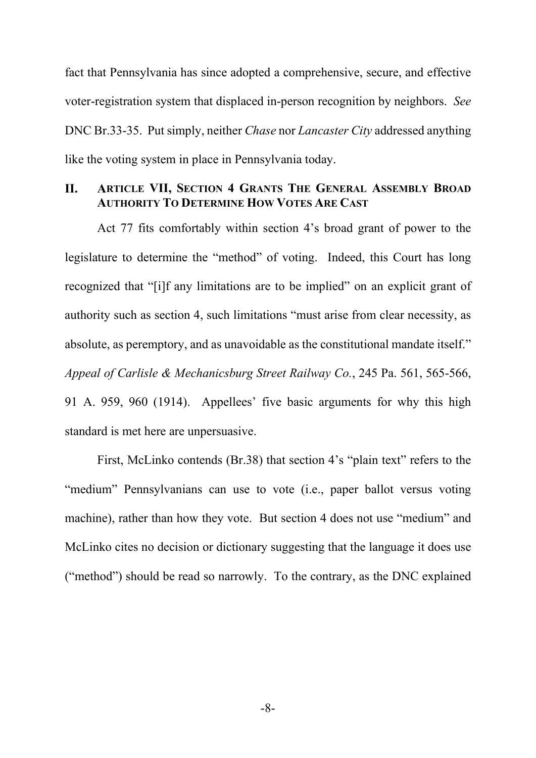fact that Pennsylvania has since adopted a comprehensive, secure, and effective voter-registration system that displaced in-person recognition by neighbors. *See* DNC Br.33-35. Put simply, neither *Chase* nor *Lancaster City* addressed anything like the voting system in place in Pennsylvania today.

## **II. ARTICLE VII, SECTION 4 GRANTS THE GENERAL ASSEMBLY BROAD AUTHORITY TO DETERMINE HOW VOTES ARE CAST**

Act 77 fits comfortably within section 4's broad grant of power to the legislature to determine the "method" of voting. Indeed, this Court has long recognized that "[i]f any limitations are to be implied" on an explicit grant of authority such as section 4, such limitations "must arise from clear necessity, as absolute, as peremptory, and as unavoidable as the constitutional mandate itself." *Appeal of Carlisle & Mechanicsburg Street Railway Co.*, 245 Pa. 561, 565-566, 91 A. 959, 960 (1914). Appellees' five basic arguments for why this high standard is met here are unpersuasive.

First, McLinko contends (Br.38) that section 4's "plain text" refers to the "medium" Pennsylvanians can use to vote (i.e., paper ballot versus voting machine), rather than how they vote. But section 4 does not use "medium" and McLinko cites no decision or dictionary suggesting that the language it does use ("method") should be read so narrowly. To the contrary, as the DNC explained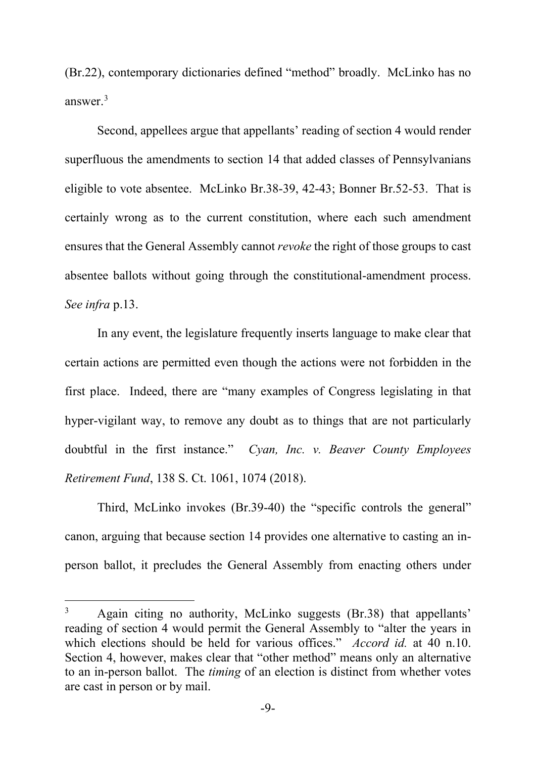(Br.22), contemporary dictionaries defined "method" broadly. McLinko has no answer.3

Second, appellees argue that appellants' reading of section 4 would render superfluous the amendments to section 14 that added classes of Pennsylvanians eligible to vote absentee. McLinko Br.38-39, 42-43; Bonner Br.52-53. That is certainly wrong as to the current constitution, where each such amendment ensures that the General Assembly cannot *revoke* the right of those groups to cast absentee ballots without going through the constitutional-amendment process. *See infra* p.13.

In any event, the legislature frequently inserts language to make clear that certain actions are permitted even though the actions were not forbidden in the first place. Indeed, there are "many examples of Congress legislating in that hyper-vigilant way, to remove any doubt as to things that are not particularly doubtful in the first instance." *Cyan, Inc. v. Beaver County Employees Retirement Fund*, 138 S. Ct. 1061, 1074 (2018).

Third, McLinko invokes (Br.39-40) the "specific controls the general" canon, arguing that because section 14 provides one alternative to casting an inperson ballot, it precludes the General Assembly from enacting others under

<sup>&</sup>lt;sup>3</sup> Again citing no authority, McLinko suggests (Br.38) that appellants' reading of section 4 would permit the General Assembly to "alter the years in which elections should be held for various offices." *Accord id.* at 40 n.10. Section 4, however, makes clear that "other method" means only an alternative to an in-person ballot. The *timing* of an election is distinct from whether votes are cast in person or by mail.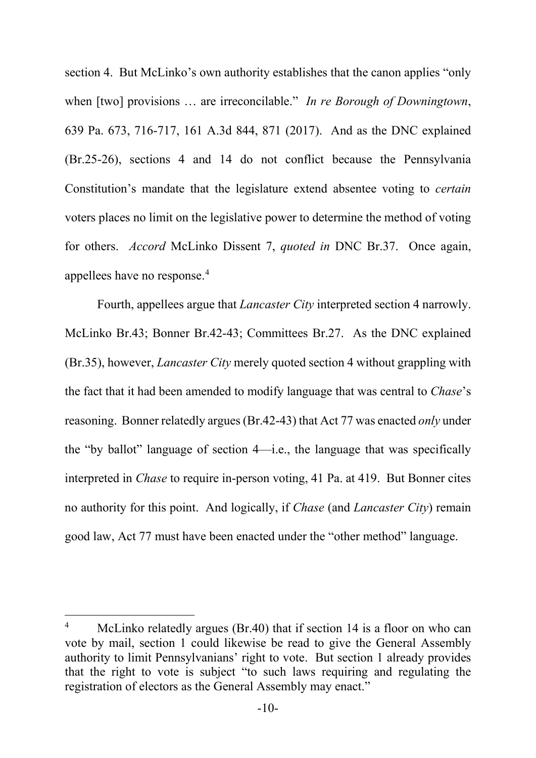section 4. But McLinko's own authority establishes that the canon applies "only when [two] provisions … are irreconcilable." *In re Borough of Downingtown*, 639 Pa. 673, 716-717, 161 A.3d 844, 871 (2017). And as the DNC explained (Br.25-26), sections 4 and 14 do not conflict because the Pennsylvania Constitution's mandate that the legislature extend absentee voting to *certain* voters places no limit on the legislative power to determine the method of voting for others. *Accord* McLinko Dissent 7, *quoted in* DNC Br.37. Once again, appellees have no response.4

Fourth, appellees argue that *Lancaster City* interpreted section 4 narrowly. McLinko Br.43; Bonner Br.42-43; Committees Br.27. As the DNC explained (Br.35), however, *Lancaster City* merely quoted section 4 without grappling with the fact that it had been amended to modify language that was central to *Chase*'s reasoning. Bonner relatedly argues (Br.42-43) that Act 77 was enacted *only* under the "by ballot" language of section 4—i.e., the language that was specifically interpreted in *Chase* to require in-person voting, 41 Pa. at 419. But Bonner cites no authority for this point. And logically, if *Chase* (and *Lancaster City*) remain good law, Act 77 must have been enacted under the "other method" language.

<sup>&</sup>lt;sup>4</sup> McLinko relatedly argues (Br.40) that if section 14 is a floor on who can vote by mail, section 1 could likewise be read to give the General Assembly authority to limit Pennsylvanians' right to vote. But section 1 already provides that the right to vote is subject "to such laws requiring and regulating the registration of electors as the General Assembly may enact."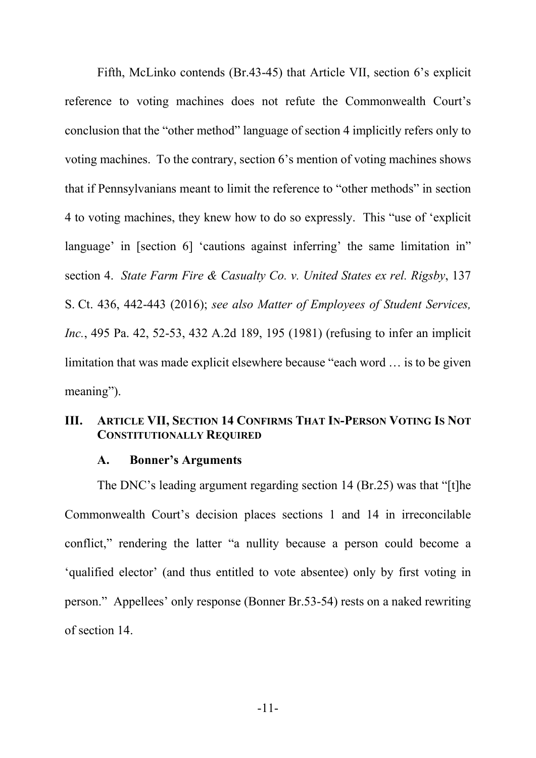Fifth, McLinko contends (Br.43-45) that Article VII, section 6's explicit reference to voting machines does not refute the Commonwealth Court's conclusion that the "other method" language of section 4 implicitly refers only to voting machines. To the contrary, section 6's mention of voting machines shows that if Pennsylvanians meant to limit the reference to "other methods" in section 4 to voting machines, they knew how to do so expressly. This "use of 'explicit language' in [section 6] 'cautions against inferring' the same limitation in" section 4. *State Farm Fire & Casualty Co. v. United States ex rel. Rigsby*, 137 S. Ct. 436, 442-443 (2016); *see also Matter of Employees of Student Services, Inc.*, 495 Pa. 42, 52-53, 432 A.2d 189, 195 (1981) (refusing to infer an implicit limitation that was made explicit elsewhere because "each word … is to be given meaning").

## **III. ARTICLE VII, SECTION 14 CONFIRMS THAT IN-PERSON VOTING IS NOT CONSTITUTIONALLY REQUIRED**

### **A. Bonner's Arguments**

The DNC's leading argument regarding section 14 (Br.25) was that "[t]he Commonwealth Court's decision places sections 1 and 14 in irreconcilable conflict," rendering the latter "a nullity because a person could become a 'qualified elector' (and thus entitled to vote absentee) only by first voting in person." Appellees' only response (Bonner Br.53-54) rests on a naked rewriting of section 14.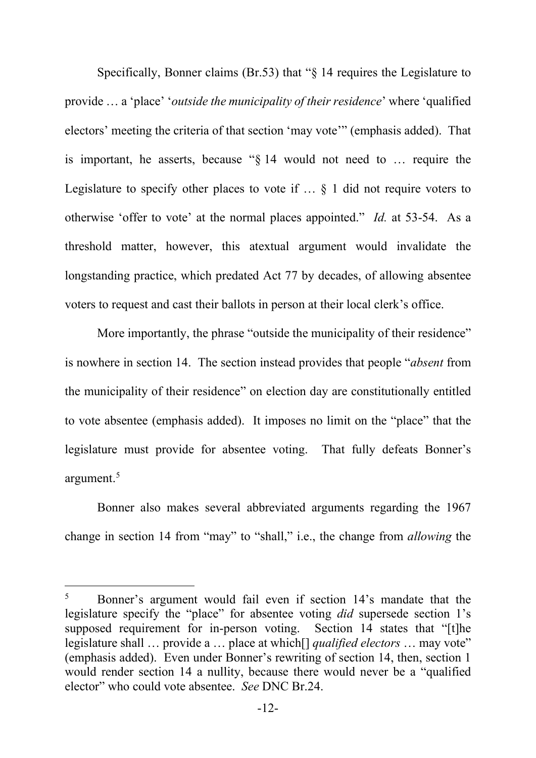Specifically, Bonner claims (Br.53) that "§ 14 requires the Legislature to provide … a 'place' '*outside the municipality of their residence*' where 'qualified electors' meeting the criteria of that section 'may vote'" (emphasis added). That is important, he asserts, because "§ 14 would not need to … require the Legislature to specify other places to vote if  $\ldots$  § 1 did not require voters to otherwise 'offer to vote' at the normal places appointed." *Id.* at 53-54. As a threshold matter, however, this atextual argument would invalidate the longstanding practice, which predated Act 77 by decades, of allowing absentee voters to request and cast their ballots in person at their local clerk's office.

More importantly, the phrase "outside the municipality of their residence" is nowhere in section 14. The section instead provides that people "*absent* from the municipality of their residence" on election day are constitutionally entitled to vote absentee (emphasis added). It imposes no limit on the "place" that the legislature must provide for absentee voting. That fully defeats Bonner's argument. 5

Bonner also makes several abbreviated arguments regarding the 1967 change in section 14 from "may" to "shall," i.e., the change from *allowing* the

<sup>&</sup>lt;sup>5</sup> Bonner's argument would fail even if section 14's mandate that the legislature specify the "place" for absentee voting *did* supersede section 1's supposed requirement for in-person voting. Section 14 states that "[t]he legislature shall … provide a … place at which[] *qualified electors* … may vote" (emphasis added). Even under Bonner's rewriting of section 14, then, section 1 would render section 14 a nullity, because there would never be a "qualified elector" who could vote absentee. *See* DNC Br.24.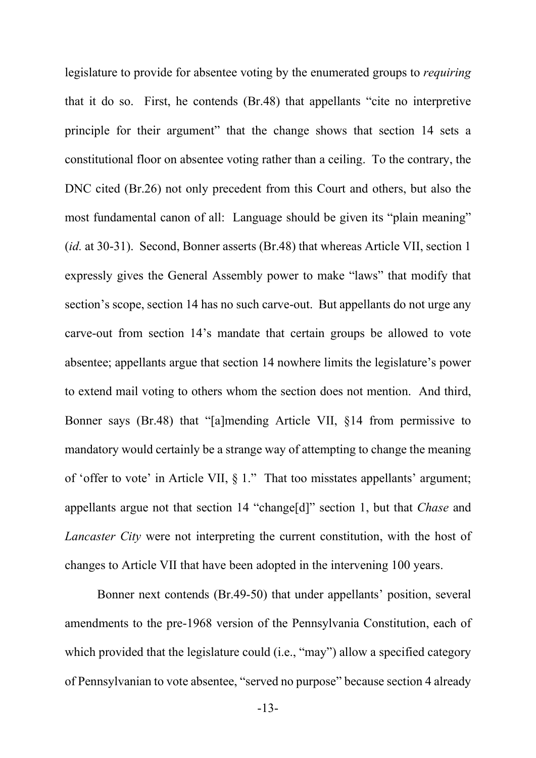legislature to provide for absentee voting by the enumerated groups to *requiring* that it do so. First, he contends (Br.48) that appellants "cite no interpretive principle for their argument" that the change shows that section 14 sets a constitutional floor on absentee voting rather than a ceiling. To the contrary, the DNC cited (Br.26) not only precedent from this Court and others, but also the most fundamental canon of all: Language should be given its "plain meaning" (*id.* at 30-31). Second, Bonner asserts (Br.48) that whereas Article VII, section 1 expressly gives the General Assembly power to make "laws" that modify that section's scope, section 14 has no such carve-out. But appellants do not urge any carve-out from section 14's mandate that certain groups be allowed to vote absentee; appellants argue that section 14 nowhere limits the legislature's power to extend mail voting to others whom the section does not mention. And third, Bonner says (Br.48) that "[a]mending Article VII, §14 from permissive to mandatory would certainly be a strange way of attempting to change the meaning of 'offer to vote' in Article VII, § 1." That too misstates appellants' argument; appellants argue not that section 14 "change[d]" section 1, but that *Chase* and *Lancaster City* were not interpreting the current constitution, with the host of changes to Article VII that have been adopted in the intervening 100 years.

Bonner next contends (Br.49-50) that under appellants' position, several amendments to the pre-1968 version of the Pennsylvania Constitution, each of which provided that the legislature could (i.e., "may") allow a specified category of Pennsylvanian to vote absentee, "served no purpose" because section 4 already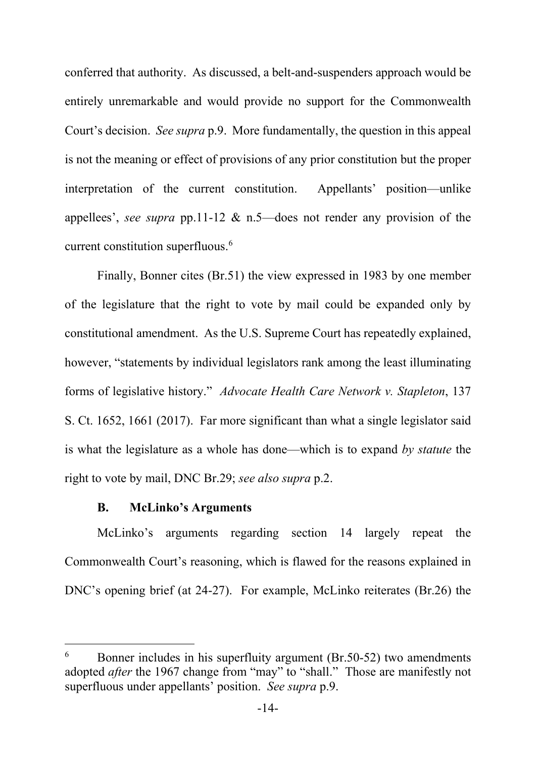conferred that authority. As discussed, a belt-and-suspenders approach would be entirely unremarkable and would provide no support for the Commonwealth Court's decision. *See supra* p.9. More fundamentally, the question in this appeal is not the meaning or effect of provisions of any prior constitution but the proper interpretation of the current constitution. Appellants' position—unlike appellees', *see supra* pp.11-12 & n.5—does not render any provision of the current constitution superfluous.6

Finally, Bonner cites (Br.51) the view expressed in 1983 by one member of the legislature that the right to vote by mail could be expanded only by constitutional amendment. As the U.S. Supreme Court has repeatedly explained, however, "statements by individual legislators rank among the least illuminating forms of legislative history." *Advocate Health Care Network v. Stapleton*, 137 S. Ct. 1652, 1661 (2017). Far more significant than what a single legislator said is what the legislature as a whole has done—which is to expand *by statute* the right to vote by mail, DNC Br.29; *see also supra* p.2.

## **B. McLinko's Arguments**

McLinko's arguments regarding section 14 largely repeat the Commonwealth Court's reasoning, which is flawed for the reasons explained in DNC's opening brief (at 24-27). For example, McLinko reiterates (Br.26) the

<sup>&</sup>lt;sup>6</sup> Bonner includes in his superfluity argument (Br.50-52) two amendments adopted *after* the 1967 change from "may" to "shall." Those are manifestly not superfluous under appellants' position. *See supra* p.9.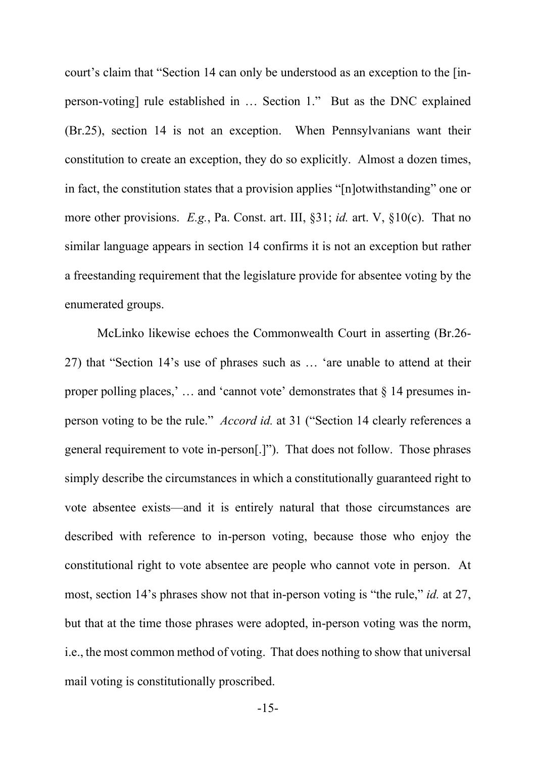court's claim that "Section 14 can only be understood as an exception to the [inperson-voting] rule established in … Section 1." But as the DNC explained (Br.25), section 14 is not an exception. When Pennsylvanians want their constitution to create an exception, they do so explicitly. Almost a dozen times, in fact, the constitution states that a provision applies "[n]otwithstanding" one or more other provisions. *E.g.*, Pa. Const. art. III, §31; *id.* art. V, §10(c). That no similar language appears in section 14 confirms it is not an exception but rather a freestanding requirement that the legislature provide for absentee voting by the enumerated groups.

McLinko likewise echoes the Commonwealth Court in asserting (Br.26- 27) that "Section 14's use of phrases such as … 'are unable to attend at their proper polling places,' … and 'cannot vote' demonstrates that § 14 presumes inperson voting to be the rule." *Accord id.* at 31 ("Section 14 clearly references a general requirement to vote in-person[.]"). That does not follow. Those phrases simply describe the circumstances in which a constitutionally guaranteed right to vote absentee exists—and it is entirely natural that those circumstances are described with reference to in-person voting, because those who enjoy the constitutional right to vote absentee are people who cannot vote in person. At most, section 14's phrases show not that in-person voting is "the rule," *id.* at 27, but that at the time those phrases were adopted, in-person voting was the norm, i.e., the most common method of voting. That does nothing to show that universal mail voting is constitutionally proscribed.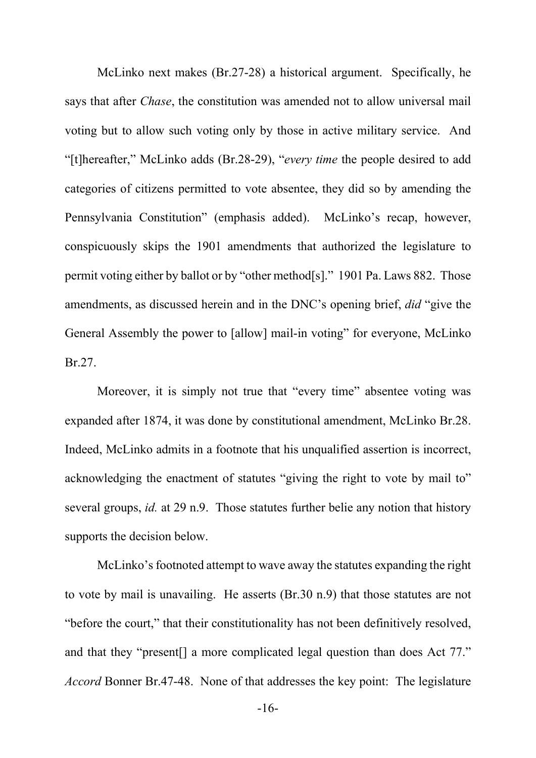McLinko next makes (Br.27-28) a historical argument. Specifically, he says that after *Chase*, the constitution was amended not to allow universal mail voting but to allow such voting only by those in active military service. And "[t]hereafter," McLinko adds (Br.28-29), "*every time* the people desired to add categories of citizens permitted to vote absentee, they did so by amending the Pennsylvania Constitution" (emphasis added). McLinko's recap, however, conspicuously skips the 1901 amendments that authorized the legislature to permit voting either by ballot or by "other method[s]." 1901 Pa. Laws 882. Those amendments, as discussed herein and in the DNC's opening brief, *did* "give the General Assembly the power to [allow] mail-in voting" for everyone, McLinko Br.27.

Moreover, it is simply not true that "every time" absentee voting was expanded after 1874, it was done by constitutional amendment, McLinko Br.28. Indeed, McLinko admits in a footnote that his unqualified assertion is incorrect, acknowledging the enactment of statutes "giving the right to vote by mail to" several groups, *id.* at 29 n.9. Those statutes further belie any notion that history supports the decision below.

McLinko's footnoted attempt to wave away the statutes expanding the right to vote by mail is unavailing. He asserts (Br.30 n.9) that those statutes are not "before the court," that their constitutionality has not been definitively resolved, and that they "present[] a more complicated legal question than does Act 77." *Accord* Bonner Br.47-48. None of that addresses the key point: The legislature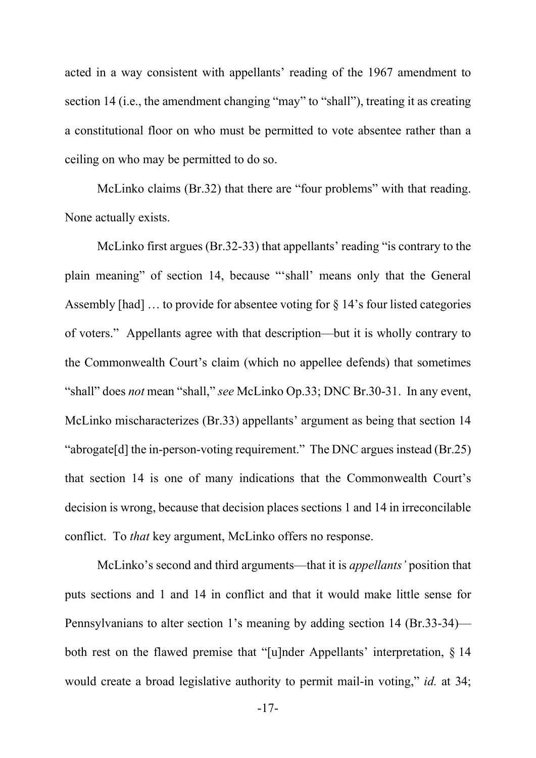acted in a way consistent with appellants' reading of the 1967 amendment to section 14 (i.e., the amendment changing "may" to "shall"), treating it as creating a constitutional floor on who must be permitted to vote absentee rather than a ceiling on who may be permitted to do so.

McLinko claims (Br.32) that there are "four problems" with that reading. None actually exists.

McLinko first argues (Br.32-33) that appellants' reading "is contrary to the plain meaning" of section 14, because "'shall' means only that the General Assembly [had] … to provide for absentee voting for § 14's four listed categories of voters." Appellants agree with that description—but it is wholly contrary to the Commonwealth Court's claim (which no appellee defends) that sometimes "shall" does *not* mean "shall," *see* McLinko Op.33; DNC Br.30-31. In any event, McLinko mischaracterizes (Br.33) appellants' argument as being that section 14 "abrogate[d] the in-person-voting requirement." The DNC argues instead (Br.25) that section 14 is one of many indications that the Commonwealth Court's decision is wrong, because that decision places sections 1 and 14 in irreconcilable conflict. To *that* key argument, McLinko offers no response.

McLinko's second and third arguments—that it is *appellants'* position that puts sections and 1 and 14 in conflict and that it would make little sense for Pennsylvanians to alter section 1's meaning by adding section 14 (Br.33-34) both rest on the flawed premise that "[u]nder Appellants' interpretation, § 14 would create a broad legislative authority to permit mail-in voting," *id.* at 34;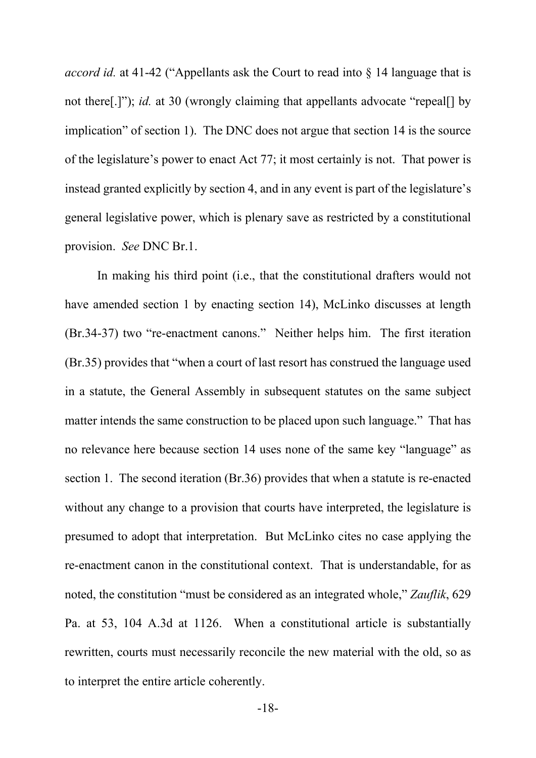*accord id.* at 41-42 ("Appellants ask the Court to read into § 14 language that is not there[.]"); *id.* at 30 (wrongly claiming that appellants advocate "repeal[] by implication" of section 1). The DNC does not argue that section 14 is the source of the legislature's power to enact Act 77; it most certainly is not. That power is instead granted explicitly by section 4, and in any event is part of the legislature's general legislative power, which is plenary save as restricted by a constitutional provision. *See* DNC Br.1.

In making his third point (i.e., that the constitutional drafters would not have amended section 1 by enacting section 14), McLinko discusses at length (Br.34-37) two "re-enactment canons." Neither helps him. The first iteration (Br.35) provides that "when a court of last resort has construed the language used in a statute, the General Assembly in subsequent statutes on the same subject matter intends the same construction to be placed upon such language." That has no relevance here because section 14 uses none of the same key "language" as section 1. The second iteration (Br.36) provides that when a statute is re-enacted without any change to a provision that courts have interpreted, the legislature is presumed to adopt that interpretation. But McLinko cites no case applying the re-enactment canon in the constitutional context. That is understandable, for as noted, the constitution "must be considered as an integrated whole," *Zauflik*, 629 Pa. at 53, 104 A.3d at 1126. When a constitutional article is substantially rewritten, courts must necessarily reconcile the new material with the old, so as to interpret the entire article coherently.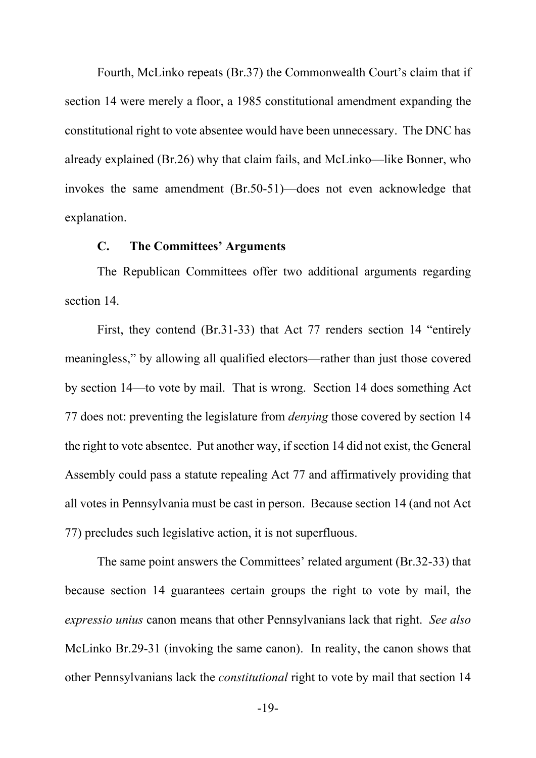Fourth, McLinko repeats (Br.37) the Commonwealth Court's claim that if section 14 were merely a floor, a 1985 constitutional amendment expanding the constitutional right to vote absentee would have been unnecessary. The DNC has already explained (Br.26) why that claim fails, and McLinko—like Bonner, who invokes the same amendment (Br.50-51)—does not even acknowledge that explanation.

### **C. The Committees' Arguments**

The Republican Committees offer two additional arguments regarding section 14.

First, they contend (Br.31-33) that Act 77 renders section 14 "entirely meaningless," by allowing all qualified electors—rather than just those covered by section 14—to vote by mail. That is wrong. Section 14 does something Act 77 does not: preventing the legislature from *denying* those covered by section 14 the right to vote absentee. Put another way, if section 14 did not exist, the General Assembly could pass a statute repealing Act 77 and affirmatively providing that all votes in Pennsylvania must be cast in person. Because section 14 (and not Act 77) precludes such legislative action, it is not superfluous.

The same point answers the Committees' related argument (Br.32-33) that because section 14 guarantees certain groups the right to vote by mail, the *expressio unius* canon means that other Pennsylvanians lack that right. *See also* McLinko Br.29-31 (invoking the same canon). In reality, the canon shows that other Pennsylvanians lack the *constitutional* right to vote by mail that section 14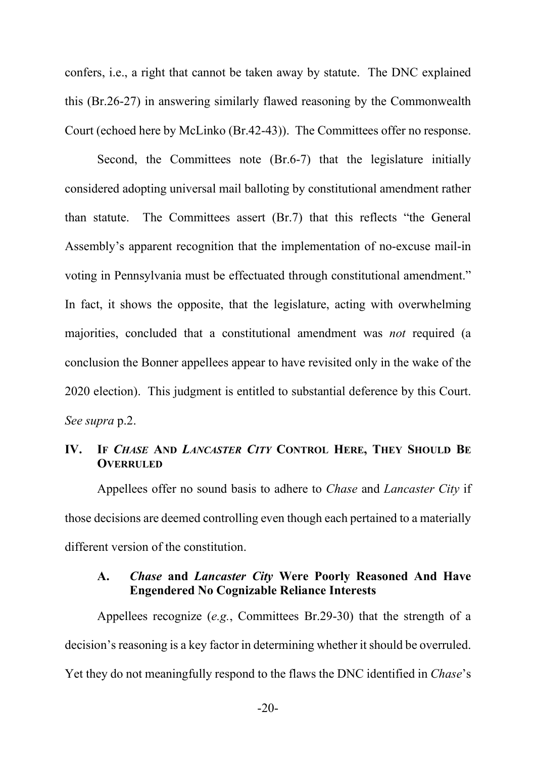confers, i.e., a right that cannot be taken away by statute. The DNC explained this (Br.26-27) in answering similarly flawed reasoning by the Commonwealth Court (echoed here by McLinko (Br.42-43)). The Committees offer no response.

Second, the Committees note (Br.6-7) that the legislature initially considered adopting universal mail balloting by constitutional amendment rather than statute. The Committees assert (Br.7) that this reflects "the General Assembly's apparent recognition that the implementation of no-excuse mail-in voting in Pennsylvania must be effectuated through constitutional amendment." In fact, it shows the opposite, that the legislature, acting with overwhelming majorities, concluded that a constitutional amendment was *not* required (a conclusion the Bonner appellees appear to have revisited only in the wake of the 2020 election). This judgment is entitled to substantial deference by this Court. *See supra* p.2.

## **IV. IF** *CHASE* **AND** *LANCASTER CITY* **CONTROL HERE, THEY SHOULD BE OVERRULED**

Appellees offer no sound basis to adhere to *Chase* and *Lancaster City* if those decisions are deemed controlling even though each pertained to a materially different version of the constitution.

## **A.** *Chase* **and** *Lancaster City* **Were Poorly Reasoned And Have Engendered No Cognizable Reliance Interests**

Appellees recognize (*e.g.*, Committees Br.29-30) that the strength of a decision's reasoning is a key factor in determining whether it should be overruled. Yet they do not meaningfully respond to the flaws the DNC identified in *Chase*'s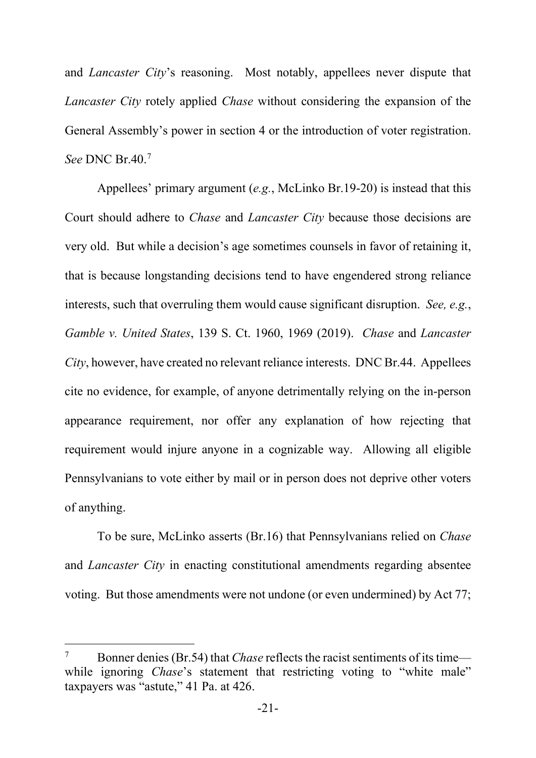and *Lancaster City*'s reasoning. Most notably, appellees never dispute that *Lancaster City* rotely applied *Chase* without considering the expansion of the General Assembly's power in section 4 or the introduction of voter registration. *See* DNC Br.40. 7

Appellees' primary argument (*e.g.*, McLinko Br.19-20) is instead that this Court should adhere to *Chase* and *Lancaster City* because those decisions are very old. But while a decision's age sometimes counsels in favor of retaining it, that is because longstanding decisions tend to have engendered strong reliance interests, such that overruling them would cause significant disruption. *See, e.g.*, *Gamble v. United States*, 139 S. Ct. 1960, 1969 (2019). *Chase* and *Lancaster City*, however, have created no relevant reliance interests. DNC Br.44. Appellees cite no evidence, for example, of anyone detrimentally relying on the in-person appearance requirement, nor offer any explanation of how rejecting that requirement would injure anyone in a cognizable way. Allowing all eligible Pennsylvanians to vote either by mail or in person does not deprive other voters of anything.

To be sure, McLinko asserts (Br.16) that Pennsylvanians relied on *Chase*  and *Lancaster City* in enacting constitutional amendments regarding absentee voting. But those amendments were not undone (or even undermined) by Act 77;

<sup>&</sup>lt;sup>7</sup> Bonner denies (Br.54) that *Chase* reflects the racist sentiments of its time while ignoring *Chase*'s statement that restricting voting to "white male" taxpayers was "astute," 41 Pa. at 426.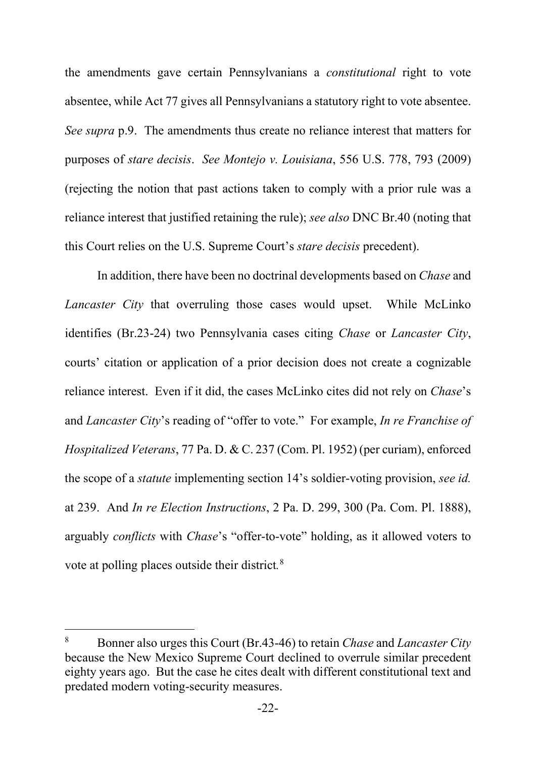the amendments gave certain Pennsylvanians a *constitutional* right to vote absentee, while Act 77 gives all Pennsylvanians a statutory right to vote absentee. *See supra* p.9. The amendments thus create no reliance interest that matters for purposes of *stare decisis*. *See Montejo v. Louisiana*, 556 U.S. 778, 793 (2009) (rejecting the notion that past actions taken to comply with a prior rule was a reliance interest that justified retaining the rule); *see also* DNC Br.40 (noting that this Court relies on the U.S. Supreme Court's *stare decisis* precedent).

In addition, there have been no doctrinal developments based on *Chase* and *Lancaster City* that overruling those cases would upset. While McLinko identifies (Br.23-24) two Pennsylvania cases citing *Chase* or *Lancaster City*, courts' citation or application of a prior decision does not create a cognizable reliance interest. Even if it did, the cases McLinko cites did not rely on *Chase*'s and *Lancaster City*'s reading of "offer to vote." For example, *In re Franchise of Hospitalized Veterans*, 77 Pa. D. & C. 237 (Com. Pl. 1952) (per curiam), enforced the scope of a *statute* implementing section 14's soldier-voting provision, *see id.* at 239. And *In re Election Instructions*, 2 Pa. D. 299, 300 (Pa. Com. Pl. 1888), arguably *conflicts* with *Chase*'s "offer-to-vote" holding, as it allowed voters to vote at polling places outside their district*.* 8

<sup>8</sup> Bonner also urges this Court (Br.43-46) to retain *Chase* and *Lancaster City* because the New Mexico Supreme Court declined to overrule similar precedent eighty years ago. But the case he cites dealt with different constitutional text and predated modern voting-security measures.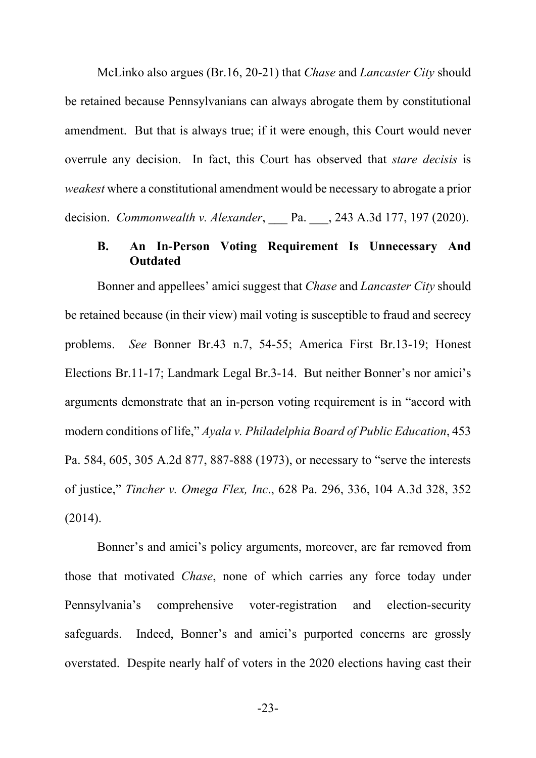McLinko also argues (Br.16, 20-21) that *Chase* and *Lancaster City* should be retained because Pennsylvanians can always abrogate them by constitutional amendment. But that is always true; if it were enough, this Court would never overrule any decision. In fact, this Court has observed that *stare decisis* is *weakest* where a constitutional amendment would be necessary to abrogate a prior decision. *Commonwealth v. Alexander*, Pa. , 243 A.3d 177, 197 (2020).

# **B. An In-Person Voting Requirement Is Unnecessary And Outdated**

Bonner and appellees' amici suggest that *Chase* and *Lancaster City* should be retained because (in their view) mail voting is susceptible to fraud and secrecy problems. *See* Bonner Br.43 n.7, 54-55; America First Br.13-19; Honest Elections Br.11-17; Landmark Legal Br.3-14.But neither Bonner's nor amici's arguments demonstrate that an in-person voting requirement is in "accord with modern conditions of life," *Ayala v. Philadelphia Board of Public Education*, 453 Pa. 584, 605, 305 A.2d 877, 887-888 (1973), or necessary to "serve the interests of justice," *Tincher v. Omega Flex, Inc*., 628 Pa. 296, 336, 104 A.3d 328, 352 (2014).

Bonner's and amici's policy arguments, moreover, are far removed from those that motivated *Chase*, none of which carries any force today under Pennsylvania's comprehensive voter-registration and election-security safeguards. Indeed, Bonner's and amici's purported concerns are grossly overstated. Despite nearly half of voters in the 2020 elections having cast their

-23-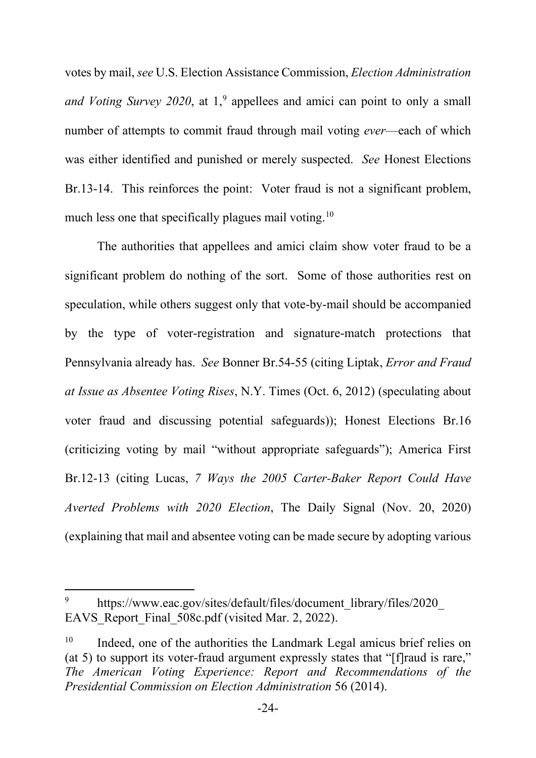votes by mail, *see* U.S. Election Assistance Commission, *Election Administration and Voting Survey 2020*, at 1,<sup>9</sup> appellees and amici can point to only a small number of attempts to commit fraud through mail voting *ever*—each of which was either identified and punished or merely suspected. *See* Honest Elections Br.13-14. This reinforces the point: Voter fraud is not a significant problem, much less one that specifically plagues mail voting.<sup>10</sup>

The authorities that appellees and amici claim show voter fraud to be a significant problem do nothing of the sort. Some of those authorities rest on speculation, while others suggest only that vote-by-mail should be accompanied by the type of voter-registration and signature-match protections that Pennsylvania already has. *See* Bonner Br.54-55 (citing Liptak, *Error and Fraud at Issue as Absentee Voting Rises*, N.Y. Times (Oct. 6, 2012) (speculating about voter fraud and discussing potential safeguards)); Honest Elections Br.16 (criticizing voting by mail "without appropriate safeguards"); America First Br.12-13 (citing Lucas, *7 Ways the 2005 Carter-Baker Report Could Have Averted Problems with 2020 Election*, The Daily Signal (Nov. 20, 2020) (explaining that mail and absentee voting can be made secure by adopting various

<sup>&</sup>lt;sup>9</sup> https://www.eac.gov/sites/default/files/document\_library/files/2020 EAVS Report Final 508c.pdf (visited Mar. 2, 2022).

Indeed, one of the authorities the Landmark Legal amicus brief relies on (at 5) to support its voter-fraud argument expressly states that "[f]raud is rare," *The American Voting Experience: Report and Recommendations of the Presidential Commission on Election Administration* 56 (2014).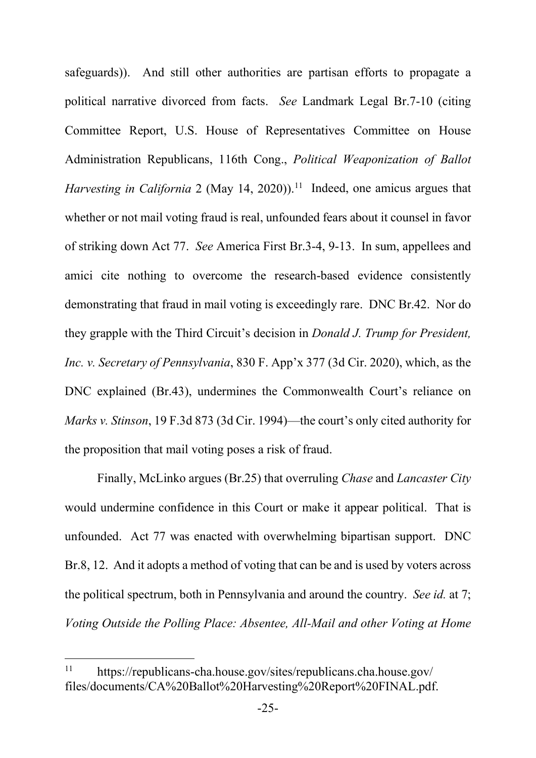safeguards)). And still other authorities are partisan efforts to propagate a political narrative divorced from facts. *See* Landmark Legal Br.7-10 (citing Committee Report, U.S. House of Representatives Committee on House Administration Republicans, 116th Cong., *Political Weaponization of Ballot Harvesting in California* 2 (May 14, 2020)). 11 Indeed, one amicus argues that whether or not mail voting fraud is real, unfounded fears about it counsel in favor of striking down Act 77. *See* America First Br.3-4, 9-13. In sum, appellees and amici cite nothing to overcome the research-based evidence consistently demonstrating that fraud in mail voting is exceedingly rare. DNC Br.42. Nor do they grapple with the Third Circuit's decision in *Donald J. Trump for President, Inc. v. Secretary of Pennsylvania*, 830 F. App'x 377 (3d Cir. 2020), which, as the DNC explained (Br.43), undermines the Commonwealth Court's reliance on *Marks v. Stinson*, 19 F.3d 873 (3d Cir. 1994)—the court's only cited authority for the proposition that mail voting poses a risk of fraud.

Finally, McLinko argues (Br.25) that overruling *Chase* and *Lancaster City*  would undermine confidence in this Court or make it appear political. That is unfounded. Act 77 was enacted with overwhelming bipartisan support. DNC Br.8, 12. And it adopts a method of voting that can be and is used by voters across the political spectrum, both in Pennsylvania and around the country. *See id.* at 7; *Voting Outside the Polling Place: Absentee, All-Mail and other Voting at Home* 

<sup>11</sup> https://republicans-cha.house.gov/sites/republicans.cha.house.gov/ files/documents/CA%20Ballot%20Harvesting%20Report%20FINAL.pdf.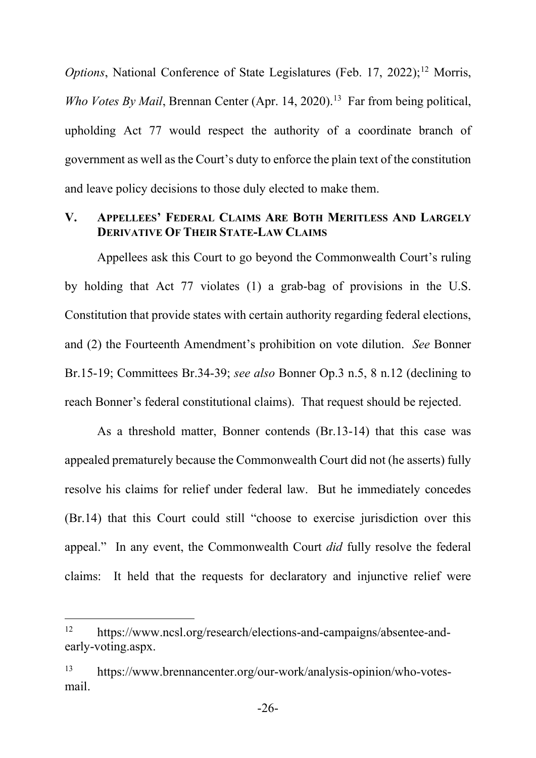*Options*, National Conference of State Legislatures (Feb. 17, 2022);<sup>12</sup> Morris, *Who Votes By Mail*, Brennan Center (Apr. 14, 2020).<sup>13</sup> Far from being political, upholding Act 77 would respect the authority of a coordinate branch of government as well as the Court's duty to enforce the plain text of the constitution and leave policy decisions to those duly elected to make them.

# **V. APPELLEES' FEDERAL CLAIMS ARE BOTH MERITLESS AND LARGELY DERIVATIVE OF THEIR STATE-LAW CLAIMS**

Appellees ask this Court to go beyond the Commonwealth Court's ruling by holding that Act 77 violates (1) a grab-bag of provisions in the U.S. Constitution that provide states with certain authority regarding federal elections, and (2) the Fourteenth Amendment's prohibition on vote dilution. *See* Bonner Br.15-19; Committees Br.34-39; *see also* Bonner Op.3 n.5, 8 n.12 (declining to reach Bonner's federal constitutional claims). That request should be rejected.

As a threshold matter, Bonner contends (Br.13-14) that this case was appealed prematurely because the Commonwealth Court did not (he asserts) fully resolve his claims for relief under federal law. But he immediately concedes (Br.14) that this Court could still "choose to exercise jurisdiction over this appeal." In any event, the Commonwealth Court *did* fully resolve the federal claims: It held that the requests for declaratory and injunctive relief were

<sup>12</sup> https://www.ncsl.org/research/elections-and-campaigns/absentee-andearly-voting.aspx.

<sup>13</sup> https://www.brennancenter.org/our-work/analysis-opinion/who-votesmail.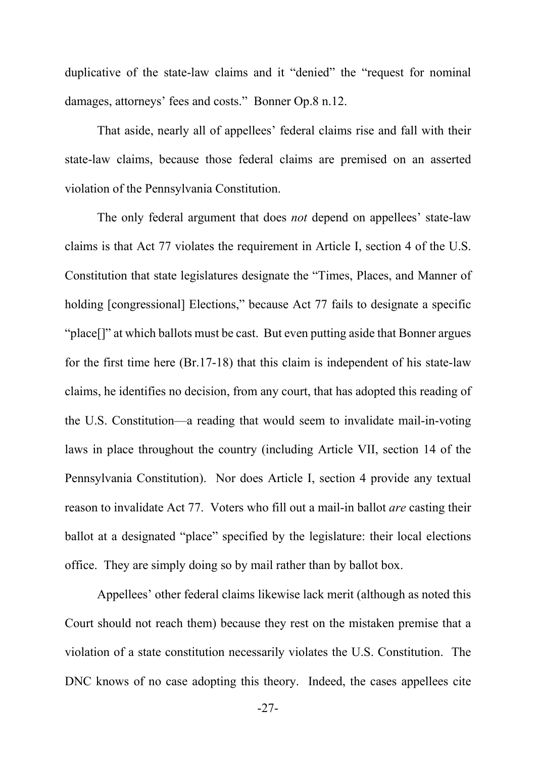duplicative of the state-law claims and it "denied" the "request for nominal damages, attorneys' fees and costs." Bonner Op.8 n.12.

That aside, nearly all of appellees' federal claims rise and fall with their state-law claims, because those federal claims are premised on an asserted violation of the Pennsylvania Constitution.

The only federal argument that does *not* depend on appellees' state-law claims is that Act 77 violates the requirement in Article I, section 4 of the U.S. Constitution that state legislatures designate the "Times, Places, and Manner of holding [congressional] Elections," because Act 77 fails to designate a specific "place[]" at which ballots must be cast. But even putting aside that Bonner argues for the first time here (Br.17-18) that this claim is independent of his state-law claims, he identifies no decision, from any court, that has adopted this reading of the U.S. Constitution—a reading that would seem to invalidate mail-in-voting laws in place throughout the country (including Article VII, section 14 of the Pennsylvania Constitution). Nor does Article I, section 4 provide any textual reason to invalidate Act 77. Voters who fill out a mail-in ballot *are* casting their ballot at a designated "place" specified by the legislature: their local elections office. They are simply doing so by mail rather than by ballot box.

Appellees' other federal claims likewise lack merit (although as noted this Court should not reach them) because they rest on the mistaken premise that a violation of a state constitution necessarily violates the U.S. Constitution. The DNC knows of no case adopting this theory. Indeed, the cases appellees cite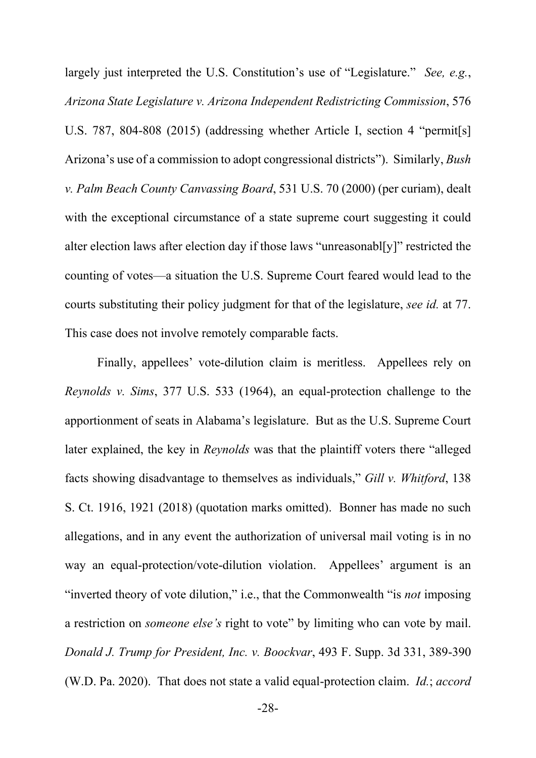largely just interpreted the U.S. Constitution's use of "Legislature." *See, e.g.*, *Arizona State Legislature v. Arizona Independent Redistricting Commission*, 576 U.S. 787, 804-808 (2015) (addressing whether Article I, section 4 "permit[s] Arizona's use of a commission to adopt congressional districts"). Similarly, *Bush v. Palm Beach County Canvassing Board*, 531 U.S. 70 (2000) (per curiam), dealt with the exceptional circumstance of a state supreme court suggesting it could alter election laws after election day if those laws "unreasonabl[y]" restricted the counting of votes—a situation the U.S. Supreme Court feared would lead to the courts substituting their policy judgment for that of the legislature, *see id.* at 77. This case does not involve remotely comparable facts.

Finally, appellees' vote-dilution claim is meritless. Appellees rely on *Reynolds v. Sims*, 377 U.S. 533 (1964), an equal-protection challenge to the apportionment of seats in Alabama's legislature. But as the U.S. Supreme Court later explained, the key in *Reynolds* was that the plaintiff voters there "alleged facts showing disadvantage to themselves as individuals," *Gill v. Whitford*, 138 S. Ct. 1916, 1921 (2018) (quotation marks omitted). Bonner has made no such allegations, and in any event the authorization of universal mail voting is in no way an equal-protection/vote-dilution violation. Appellees' argument is an "inverted theory of vote dilution," i.e., that the Commonwealth "is *not* imposing a restriction on *someone else's* right to vote" by limiting who can vote by mail. *Donald J. Trump for President, Inc. v. Boockvar*, 493 F. Supp. 3d 331, 389-390 (W.D. Pa. 2020). That does not state a valid equal-protection claim. *Id.*; *accord*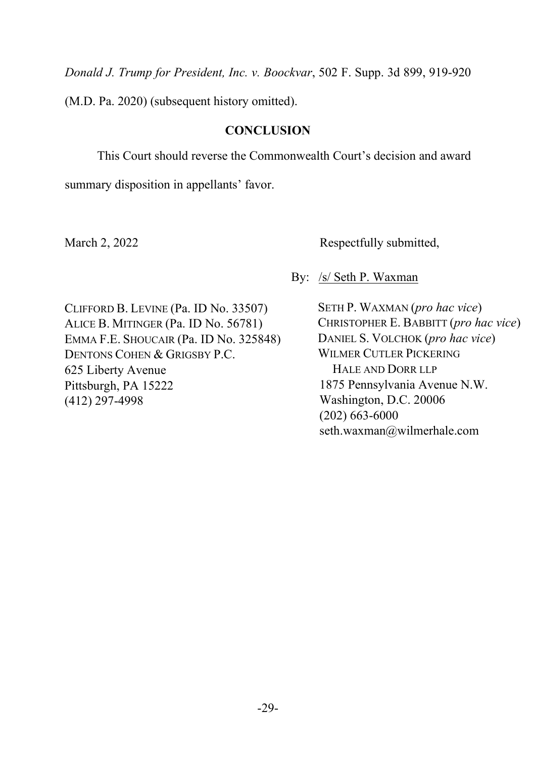*Donald J. Trump for President, Inc. v. Boockvar*, 502 F. Supp. 3d 899, 919-920

(M.D. Pa. 2020) (subsequent history omitted).

## **CONCLUSION**

This Court should reverse the Commonwealth Court's decision and award

summary disposition in appellants' favor.

March 2, 2022 Respectfully submitted,

By: /s/ Seth P. Waxman

CLIFFORD B. LEVINE (Pa. ID No. 33507) ALICE B. MITINGER (Pa. ID No. 56781) EMMA F.E. SHOUCAIR (Pa. ID No. 325848) DENTONS COHEN & GRIGSBY P.C. 625 Liberty Avenue Pittsburgh, PA 15222 (412) 297-4998

SETH P. WAXMAN (*pro hac vice*) CHRISTOPHER E. BABBITT (*pro hac vice*) DANIEL S. VOLCHOK (*pro hac vice*) WILMER CUTLER PICKERING HALE AND DORR LLP 1875 Pennsylvania Avenue N.W. Washington, D.C. 20006 (202) 663-6000 seth.waxman@wilmerhale.com